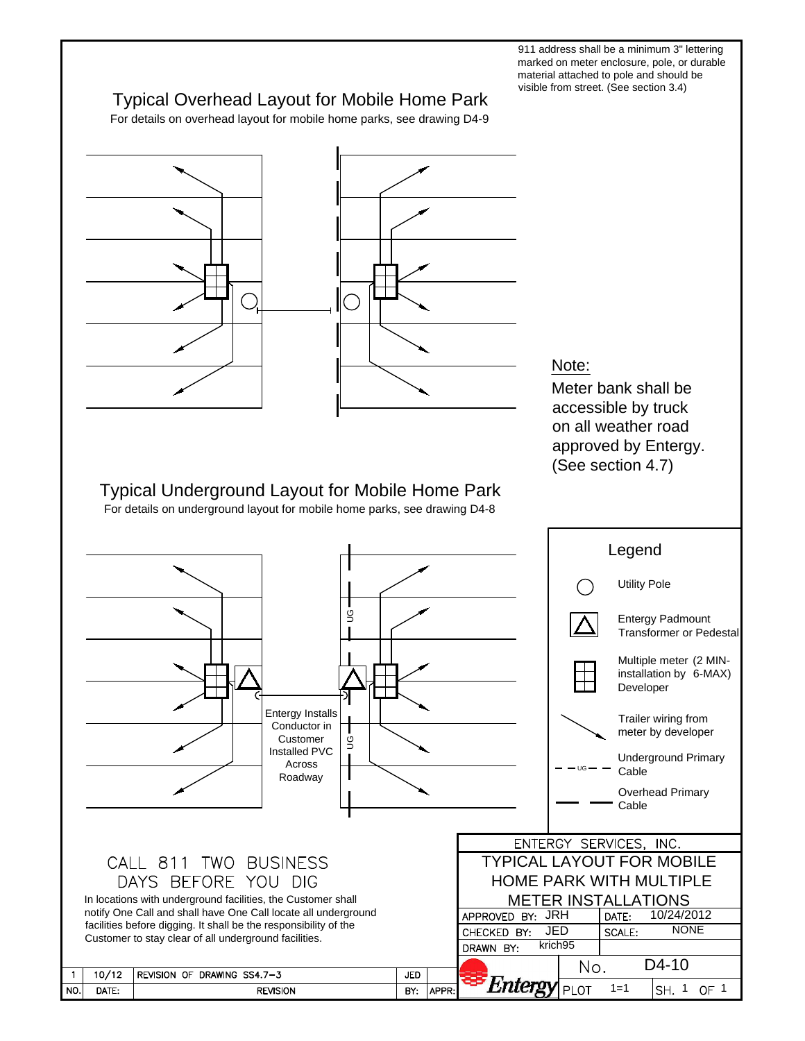911 address shall be a minimum 3" lettering marked on meter enclosure, pole, or durable material attached to pole and should be visible from street. (See section 3.4)

## Typical Overhead Layout for Mobile Home Park

For details on overhead layout for mobile home parks, see drawing D4-9

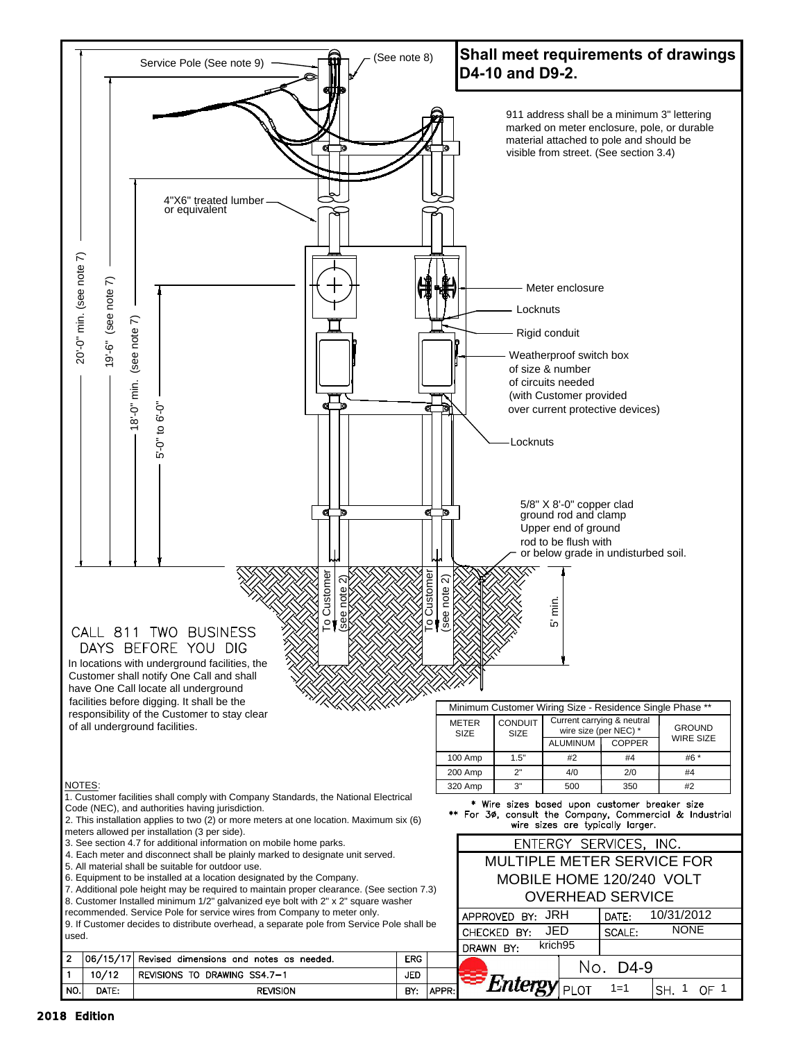